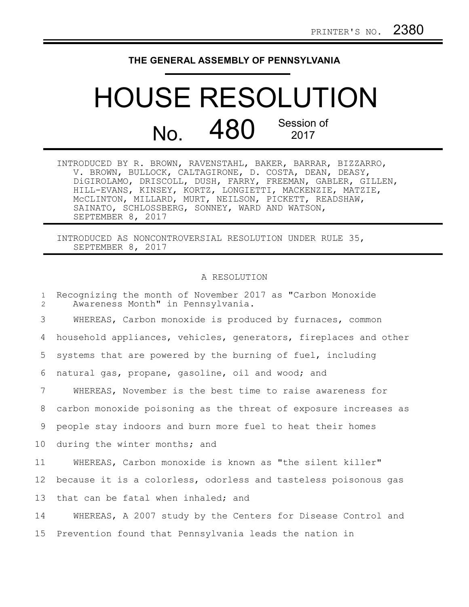## **THE GENERAL ASSEMBLY OF PENNSYLVANIA**

## HOUSE RESOLUTION  $N<sub>0</sub>$  480 Session of 2017

INTRODUCED BY R. BROWN, RAVENSTAHL, BAKER, BARRAR, BIZZARRO, V. BROWN, BULLOCK, CALTAGIRONE, D. COSTA, DEAN, DEASY, DiGIROLAMO, DRISCOLL, DUSH, FARRY, FREEMAN, GABLER, GILLEN, HILL-EVANS, KINSEY, KORTZ, LONGIETTI, MACKENZIE, MATZIE, McCLINTON, MILLARD, MURT, NEILSON, PICKETT, READSHAW, SAINATO, SCHLOSSBERG, SONNEY, WARD AND WATSON, SEPTEMBER 8, 2017

INTRODUCED AS NONCONTROVERSIAL RESOLUTION UNDER RULE 35, SEPTEMBER 8, 2017

## A RESOLUTION

Recognizing the month of November 2017 as "Carbon Monoxide Awareness Month" in Pennsylvania. WHEREAS, Carbon monoxide is produced by furnaces, common household appliances, vehicles, generators, fireplaces and other systems that are powered by the burning of fuel, including natural gas, propane, gasoline, oil and wood; and WHEREAS, November is the best time to raise awareness for carbon monoxide poisoning as the threat of exposure increases as people stay indoors and burn more fuel to heat their homes during the winter months; and WHEREAS, Carbon monoxide is known as "the silent killer" because it is a colorless, odorless and tasteless poisonous gas that can be fatal when inhaled; and WHEREAS, A 2007 study by the Centers for Disease Control and Prevention found that Pennsylvania leads the nation in 1 2 3 4 5 6 7 8 9 10 11 12 13 14 15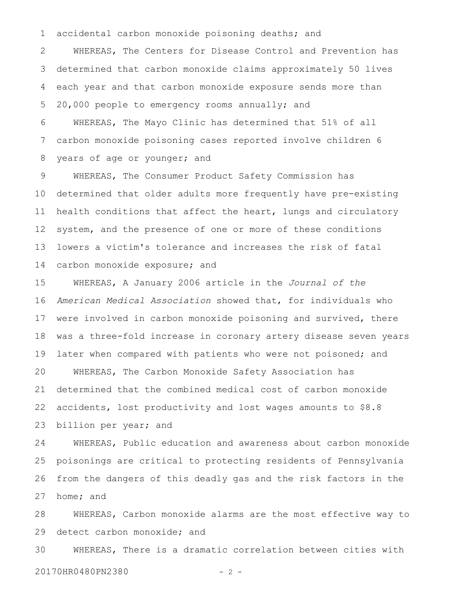accidental carbon monoxide poisoning deaths; and 1

WHEREAS, The Centers for Disease Control and Prevention has determined that carbon monoxide claims approximately 50 lives each year and that carbon monoxide exposure sends more than 20,000 people to emergency rooms annually; and 2 3 4 5

WHEREAS, The Mayo Clinic has determined that 51% of all carbon monoxide poisoning cases reported involve children 6 years of age or younger; and 6 7 8

WHEREAS, The Consumer Product Safety Commission has determined that older adults more frequently have pre-existing health conditions that affect the heart, lungs and circulatory system, and the presence of one or more of these conditions lowers a victim's tolerance and increases the risk of fatal carbon monoxide exposure; and 9 10 11 12 13 14

WHEREAS, A January 2006 article in the *Journal of the American Medical Association* showed that, for individuals who were involved in carbon monoxide poisoning and survived, there was a three-fold increase in coronary artery disease seven years later when compared with patients who were not poisoned; and WHEREAS, The Carbon Monoxide Safety Association has determined that the combined medical cost of carbon monoxide accidents, lost productivity and lost wages amounts to \$8.8 billion per year; and 15 16 17 18 19 20 21 22 23

WHEREAS, Public education and awareness about carbon monoxide poisonings are critical to protecting residents of Pennsylvania from the dangers of this deadly gas and the risk factors in the home; and 24 25 26 27

WHEREAS, Carbon monoxide alarms are the most effective way to detect carbon monoxide; and 28 29

WHEREAS, There is a dramatic correlation between cities with 20170HR0480PN2380 - 2 - 30